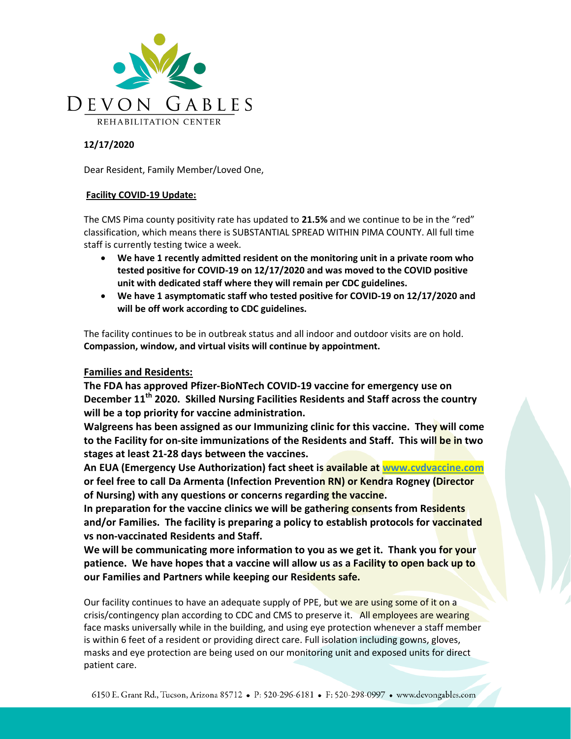

## 12/17/2020

Dear Resident, Family Member/Loved One,

## Facility COVID-19 Update:

The CMS Pima county positivity rate has updated to 21.5% and we continue to be in the "red" classification, which means there is SUBSTANTIAL SPREAD WITHIN PIMA COUNTY. All full time staff is currently testing twice a week.

- We have 1 recently admitted resident on the monitoring unit in a private room who tested positive for COVID-19 on 12/17/2020 and was moved to the COVID positive unit with dedicated staff where they will remain per CDC guidelines.
- We have 1 asymptomatic staff who tested positive for COVID-19 on 12/17/2020 and will be off work according to CDC guidelines.

The facility continues to be in outbreak status and all indoor and outdoor visits are on hold. Compassion, window, and virtual visits will continue by appointment.

## Families and Residents:

The FDA has approved Pfizer-BioNTech COVID-19 vaccine for emergency use on December 11<sup>th</sup> 2020. Skilled Nursing Facilities Residents and Staff across the country will be a top priority for vaccine administration.

Walgreens has been assigned as our Immunizing clinic for this vaccine. They will come to the Facility for on-site immunizations of the Residents and Staff. This will be in two stages at least 21-28 days between the vaccines.

An EUA (Emergency Use Authorization) fact sheet is available at www.cvdvaccine.com or feel free to call Da Armenta (Infection Prevention RN) or Kendra Rogney (Director of Nursing) with any questions or concerns regarding the vaccine.

In preparation for the vaccine clinics we will be gathering consents from Residents and/or Families. The facility is preparing a policy to establish protocols for vaccinated vs non-vaccinated Residents and Staff.

We will be communicating more information to you as we get it. Thank you for your patience. We have hopes that a vaccine will allow us as a Facility to open back up to our Families and Partners while keeping our Residents safe.

Our facility continues to have an adequate supply of PPE, but we are using some of it on a crisis/contingency plan according to CDC and CMS to preserve it. All employees are wearing face masks universally while in the building, and using eye protection whenever a staff member is within 6 feet of a resident or providing direct care. Full isolation including gowns, gloves, masks and eye protection are being used on our monitoring unit and exposed units for direct patient care.